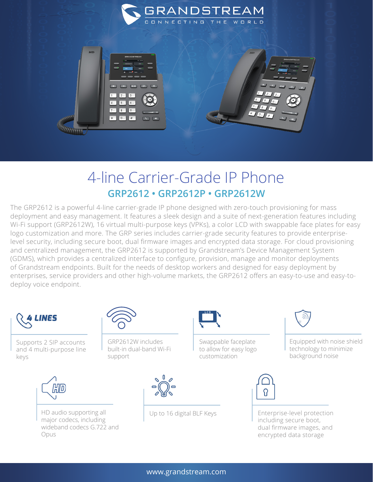



## 4-line Carrier-Grade IP Phone **GRP2612 • GRP2612P • GRP2612W**

The GRP2612 is a powerful 4-line carrier-grade IP phone designed with zero-touch provisioning for mass deployment and easy management. It features a sleek design and a suite of next-generation features including Wi-Fi support (GRP2612W), 16 virtual multi-purpose keys (VPKs), a color LCD with swappable face plates for easy logo customization and more. The GRP series includes carrier-grade security features to provide enterpriselevel security, including secure boot, dual firmware images and encrypted data storage. For cloud provisioning and centralized management, the GRP2612 is supported by Grandstream's Device Management System (GDMS), which provides a centralized interface to configure, provision, manage and monitor deployments of Grandstream endpoints. Built for the needs of desktop workers and designed for easy deployment by enterprises, service providers and other high-volume markets, the GRP2612 offers an easy-to-use and easy-todeploy voice endpoint.



Supports 2 SIP accounts and 4 multi-purpose line keys



HD audio supporting all major codecs, including wideband codecs G.722 and Opus



GRP2612W includes built-in dual-band Wi-Fi support





Swappable faceplate to allow for easy logo customization



Up to 16 digital BLF Keys **Enterprise-level protection** including secure boot, dual firmware images, and encrypted data storage

background noise



Equipped with noise shield technology to minimize